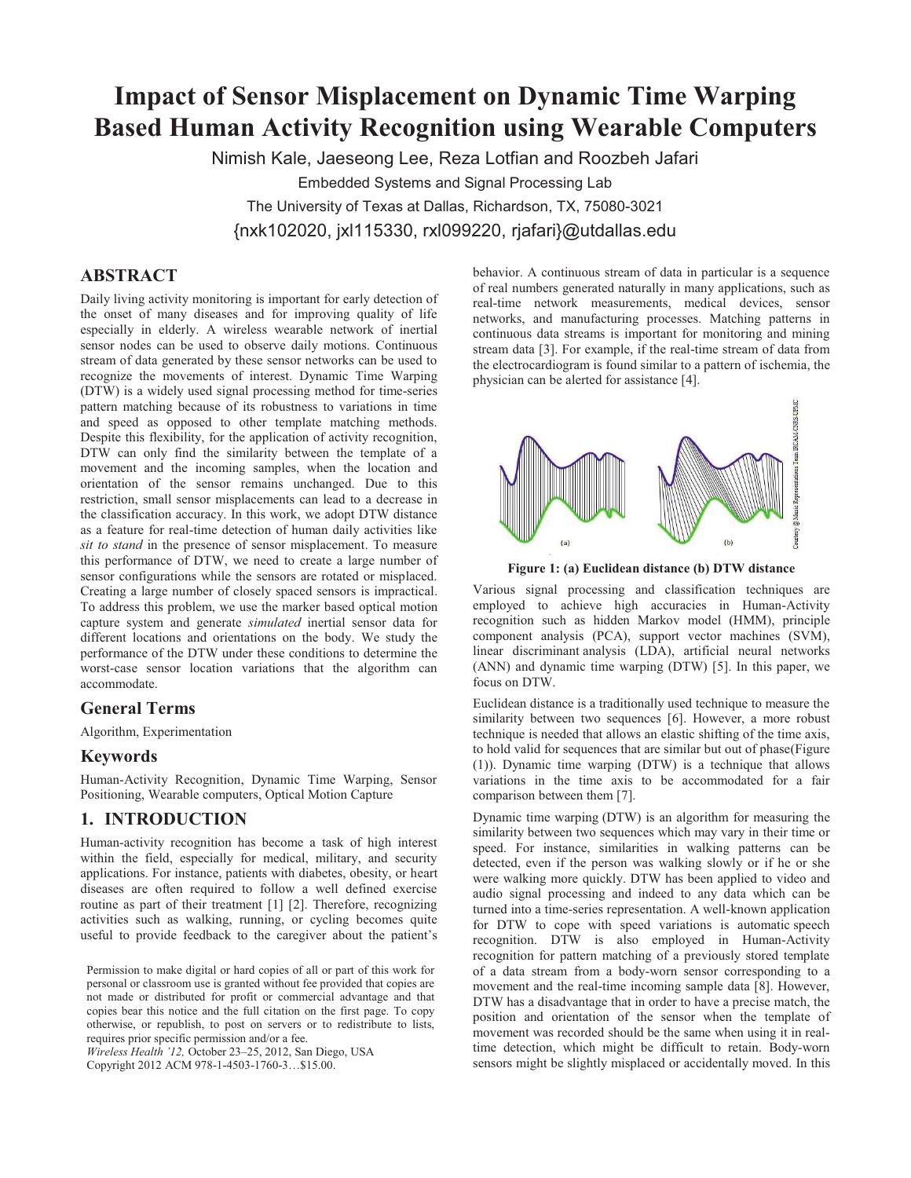# **Impact of Sensor Misplacement on Dynamic Time Warping Based Human Activity Recognition using Wearable Computers**

Nimish Kale, Jaeseong Lee, Reza Lotfian and Roozbeh Jafari

Embedded Systems and Signal Processing Lab The University of Texas at Dallas, Richardson, TX, 75080-3021

{nxk102020, jxl115330, rxl099220, rjafari}@utdallas.edu

# **ABSTRACT**

Daily living activity monitoring is important for early detection of the onset of many diseases and for improving quality of life especially in elderly. A wireless wearable network of inertial sensor nodes can be used to observe daily motions. Continuous stream of data generated by these sensor networks can be used to recognize the movements of interest. Dynamic Time Warping (DTW) is a widely used signal processing method for time-series pattern matching because of its robustness to variations in time and speed as opposed to other template matching methods. Despite this flexibility, for the application of activity recognition, DTW can only find the similarity between the template of a movement and the incoming samples, when the location and orientation of the sensor remains unchanged. Due to this restriction, small sensor misplacements can lead to a decrease in the classification accuracy. In this work, we adopt DTW distance as a feature for real-time detection of human daily activities like *sit to stand* in the presence of sensor misplacement. To measure this performance of DTW, we need to create a large number of sensor configurations while the sensors are rotated or misplaced. Creating a large number of closely spaced sensors is impractical. To address this problem, we use the marker based optical motion capture system and generate *simulated* inertial sensor data for different locations and orientations on the body. We study the performance of the DTW under these conditions to determine the worst-case sensor location variations that the algorithm can accommodate.

## **General Terms**

Algorithm, Experimentation

## **Keywords**

Human-Activity Recognition, Dynamic Time Warping, Sensor Positioning, Wearable computers, Optical Motion Capture

## **1. INTRODUCTION**

Human-activity recognition has become a task of high interest within the field, especially for medical, military, and security applications. For instance, patients with diabetes, obesity, or heart diseases are often required to follow a well defined exercise routine as part of their treatment [1] [2]. Therefore, recognizing activities such as walking, running, or cycling becomes quite useful to provide feedback to the caregiver about the patient's

*Wireless Health '12,* October 23–25, 2012, San Diego, USA Copyright 2012 ACM 978-1-4503-1760-3…\$15.00.

behavior. A continuous stream of data in particular is a sequence of real numbers generated naturally in many applications, such as real-time network measurements, medical devices, sensor networks, and manufacturing processes. Matching patterns in continuous data streams is important for monitoring and mining stream data [3]. For example, if the real-time stream of data from the electrocardiogram is found similar to a pattern of ischemia, the physician can be alerted for assistance [4].



**Figure 1: (a) Euclidean distance (b) DTW distance**

Various signal processing and classification techniques are employed to achieve high accuracies in Human-Activity recognition such as hidden Markov model (HMM), principle component analysis (PCA), support vector machines (SVM), linear discriminant analysis (LDA), artificial neural networks (ANN) and dynamic time warping (DTW) [5]. In this paper, we focus on DTW.

Euclidean distance is a traditionally used technique to measure the similarity between two sequences [6]. However, a more robust technique is needed that allows an elastic shifting of the time axis, to hold valid for sequences that are similar but out of phase(Figure (1)). Dynamic time warping (DTW) is a technique that allows variations in the time axis to be accommodated for a fair comparison between them [7].

Dynamic time warping (DTW) is an algorithm for measuring the similarity between two sequences which may vary in their time or speed. For instance, similarities in walking patterns can be detected, even if the person was walking slowly or if he or she were walking more quickly. DTW has been applied to video and audio signal processing and indeed to any data which can be turned into a time-series representation. A well-known application for DTW to cope with speed variations is automatic speech recognition. DTW is also employed in Human-Activity recognition for pattern matching of a previously stored template of a data stream from a body-worn sensor corresponding to a movement and the real-time incoming sample data [8]. However, DTW has a disadvantage that in order to have a precise match, the position and orientation of the sensor when the template of movement was recorded should be the same when using it in realtime detection, which might be difficult to retain. Body-worn sensors might be slightly misplaced or accidentally moved. In this

Permission to make digital or hard copies of all or part of this work for personal or classroom use is granted without fee provided that copies are not made or distributed for profit or commercial advantage and that copies bear this notice and the full citation on the first page. To copy otherwise, or republish, to post on servers or to redistribute to lists, requires prior specific permission and/or a fee.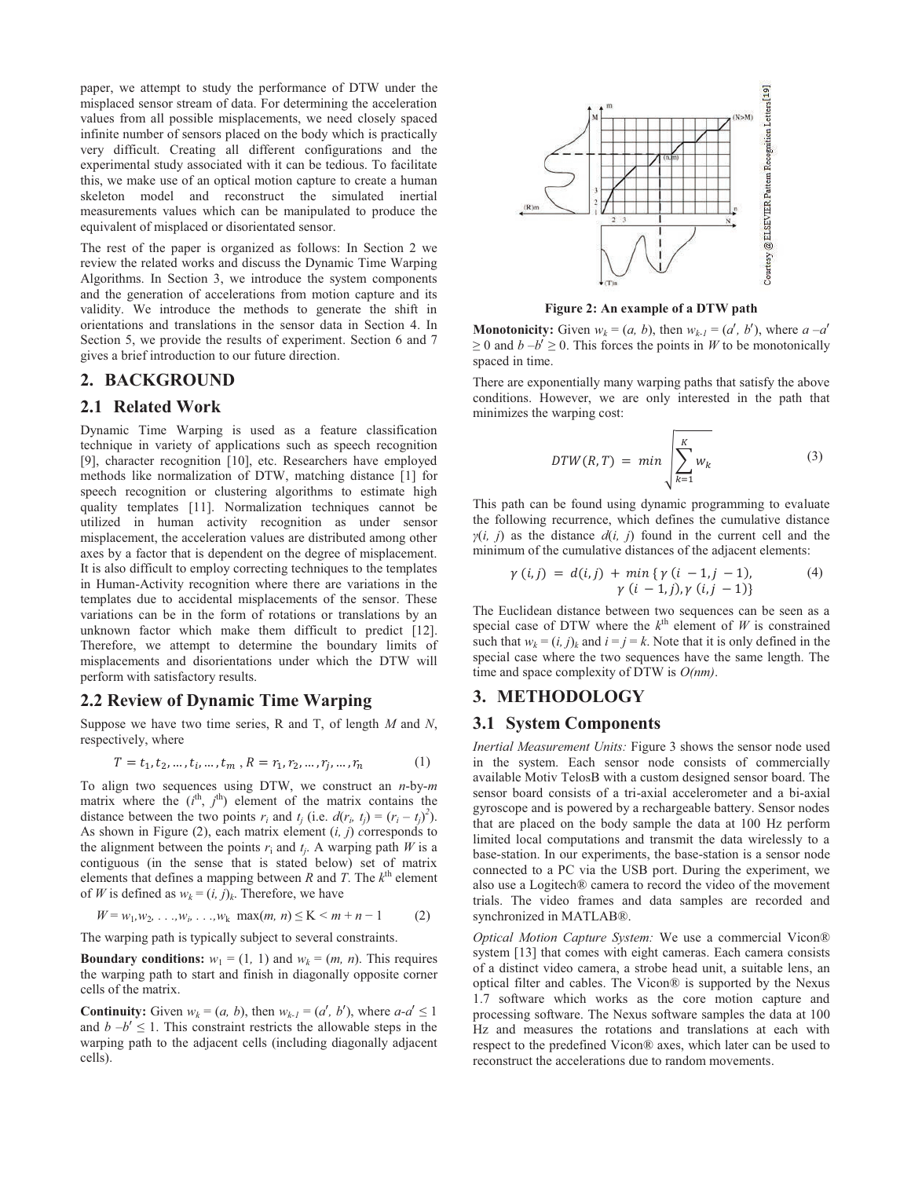paper, we attempt to study the performance of DTW under the misplaced sensor stream of data. For determining the acceleration values from all possible misplacements, we need closely spaced infinite number of sensors placed on the body which is practically very difficult. Creating all different configurations and the experimental study associated with it can be tedious. To facilitate this, we make use of an optical motion capture to create a human skeleton model and reconstruct the simulated inertial measurements values which can be manipulated to produce the equivalent of misplaced or disorientated sensor.

The rest of the paper is organized as follows: In Section 2 we review the related works and discuss the Dynamic Time Warping Algorithms. In Section 3, we introduce the system components and the generation of accelerations from motion capture and its validity. We introduce the methods to generate the shift in orientations and translations in the sensor data in Section 4. In Section 5, we provide the results of experiment. Section 6 and 7 gives a brief introduction to our future direction.

## **2. BACKGROUND**

## **2.1 Related Work**

Dynamic Time Warping is used as a feature classification technique in variety of applications such as speech recognition [9], character recognition [10], etc. Researchers have employed methods like normalization of DTW, matching distance [1] for speech recognition or clustering algorithms to estimate high quality templates [11]. Normalization techniques cannot be utilized in human activity recognition as under sensor misplacement, the acceleration values are distributed among other axes by a factor that is dependent on the degree of misplacement. It is also difficult to employ correcting techniques to the templates in Human-Activity recognition where there are variations in the templates due to accidental misplacements of the sensor. These variations can be in the form of rotations or translations by an unknown factor which make them difficult to predict [12]. Therefore, we attempt to determine the boundary limits of misplacements and disorientations under which the DTW will perform with satisfactory results.

#### **2.2 Review of Dynamic Time Warping**

Suppose we have two time series, R and T, of length *M* and *N*, respectively, where

$$
T = t_1, t_2, \dots, t_i, \dots, t_m, R = r_1, r_2, \dots, r_j, \dots, r_n
$$
 (1)

To align two sequences using DTW, we construct an *n*-by-*m*  matrix where the  $(i<sup>th</sup>, j<sup>th</sup>)$  element of the matrix contains the distance between the two points  $r_i$  and  $t_j$  (i.e.  $d(r_i, t_j) = (r_i - t_j)^2$ ). As shown in Figure (2), each matrix element (*i, j*) *c*orresponds to the alignment between the points  $r_i$  and  $t_i$ . A warping path *W* is a contiguous (in the sense that is stated below) set of matrix elements that defines a mapping between  $R$  and  $T$ . The  $k^{\text{th}}$  element of *W* is defined as  $w_k = (i, j)_k$ . Therefore, we have

$$
W = w_1, w_2, \dots, w_i, \dots, w_k \max(m, n) \le K < m + n - 1 \tag{2}
$$

The warping path is typically subject to several constraints.

**Boundary conditions:**  $w_1 = (1, 1)$  and  $w_k = (m, n)$ . This requires the warping path to start and finish in diagonally opposite corner cells of the matrix.

**Continuity:** Given  $w_k = (a, b)$ , then  $w_{k-1} = (a', b')$ , where  $a - a' \leq 1$ and  $b - b' \leq 1$ . This constraint restricts the allowable steps in the warping path to the adjacent cells (including diagonally adjacent cells).



**Figure 2: An example of a DTW path**

**Monotonicity:** Given  $w_k = (a, b)$ , then  $w_{k-1} = (a', b')$ , where  $a - a'$  $\geq 0$  and  $b - b' \geq 0$ . This forces the points in *W* to be monotonically spaced in time.

There are exponentially many warping paths that satisfy the above conditions. However, we are only interested in the path that minimizes the warping cost:

$$
DTW(R,T) = min \sqrt{\sum_{k=1}^{K} w_k}
$$
 (3)

This path can be found using dynamic programming to evaluate the following recurrence, which defines the cumulative distance  $\gamma(i, j)$  as the distance  $d(i, j)$  found in the current cell and the minimum of the cumulative distances of the adjacent elements:

$$
\gamma(i,j) = d(i,j) + \min \{ \gamma(i-1,j-1), \n\gamma(i-1,j), \gamma(i,j-1) \}
$$
\n(4)

The Euclidean distance between two sequences can be seen as a special case of DTW where the  $k^{\text{th}}$  element of *W* is constrained such that  $w_k = (i, j)_k$  and  $i = j = k$ . Note that it is only defined in the special case where the two sequences have the same length. The time and space complexity of DTW is *O(nm)*.

#### **3. METHODOLOGY**

#### **3.1 System Components**

*Inertial Measurement Units:* Figure 3 shows the sensor node used in the system. Each sensor node consists of commercially available Motiv TelosB with a custom designed sensor board. The sensor board consists of a tri-axial accelerometer and a bi-axial gyroscope and is powered by a rechargeable battery. Sensor nodes that are placed on the body sample the data at 100 Hz perform limited local computations and transmit the data wirelessly to a base-station. In our experiments, the base-station is a sensor node connected to a PC via the USB port. During the experiment, we also use a Logitech® camera to record the video of the movement trials. The video frames and data samples are recorded and synchronized in MATLAB®.

*Optical Motion Capture System:* We use a commercial Vicon® system [13] that comes with eight cameras. Each camera consists of a distinct video camera, a strobe head unit, a suitable lens, an optical filter and cables. The Vicon® is supported by the Nexus 1.7 software which works as the core motion capture and processing software. The Nexus software samples the data at 100 Hz and measures the rotations and translations at each with respect to the predefined Vicon® axes, which later can be used to reconstruct the accelerations due to random movements.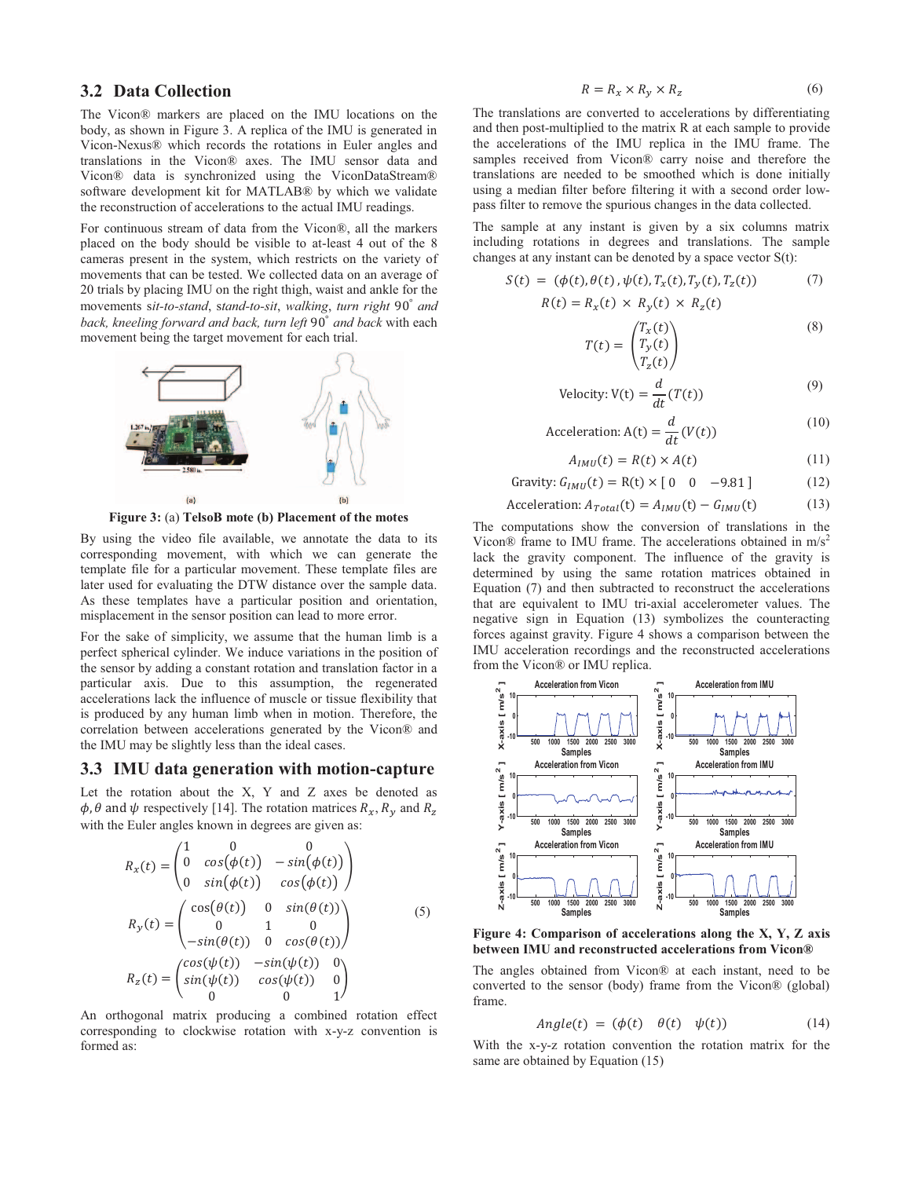## **3.2 Data Collection**

The Vicon® markers are placed on the IMU locations on the body, as shown in Figure 3. A replica of the IMU is generated in Vicon-Nexus® which records the rotations in Euler angles and translations in the Vicon® axes. The IMU sensor data and Vicon® data is synchronized using the ViconDataStream® software development kit for MATLAB® by which we validate the reconstruction of accelerations to the actual IMU readings.

For continuous stream of data from the Vicon®, all the markers placed on the body should be visible to at-least 4 out of the 8 cameras present in the system, which restricts on the variety of movements that can be tested. We collected data on an average of 20 trials by placing IMU on the right thigh, waist and ankle for the movements sit-to-stand, stand-to-sit, walking, turn right 90° and *back, kneeling forward and back, turn left*  $90^{\circ}$  *and back* with each movement being the target movement for each trial.



**Figure 3:** (a) **TelsoB mote (b) Placement of the motes**

By using the video file available, we annotate the data to its corresponding movement, with which we can generate the template file for a particular movement. These template files are later used for evaluating the DTW distance over the sample data. As these templates have a particular position and orientation, misplacement in the sensor position can lead to more error.

For the sake of simplicity, we assume that the human limb is a perfect spherical cylinder. We induce variations in the position of the sensor by adding a constant rotation and translation factor in a particular axis. Due to this assumption, the regenerated accelerations lack the influence of muscle or tissue flexibility that is produced by any human limb when in motion. Therefore, the correlation between accelerations generated by the Vicon® and the IMU may be slightly less than the ideal cases.

#### **3.3 IMU data generation with motion-capture**

Let the rotation about the X, Y and Z axes be denoted as  $\phi$ ,  $\theta$  and  $\psi$  respectively [14]. The rotation matrices  $R_x$ ,  $R_y$  and  $R_z$ with the Euler angles known in degrees are given as:

$$
R_x(t) = \begin{pmatrix} 1 & 0 & 0 \\ 0 & \cos(\phi(t)) & -\sin(\phi(t)) \\ 0 & \sin(\phi(t)) & \cos(\phi(t)) \end{pmatrix}
$$
  
\n
$$
R_y(t) = \begin{pmatrix} \cos(\theta(t)) & 0 & \sin(\theta(t)) \\ 0 & 1 & 0 \\ -\sin(\theta(t)) & 0 & \cos(\theta(t)) \end{pmatrix}
$$
  
\n
$$
R_z(t) = \begin{pmatrix} \cos(\psi(t)) & -\sin(\psi(t)) & 0 \\ \sin(\psi(t)) & \cos(\psi(t)) & 0 \\ 0 & 0 & 1 \end{pmatrix}
$$
 (5)

An orthogonal matrix producing a combined rotation effect corresponding to clockwise rotation with x-y-z convention is formed as:

$$
R = R_x \times R_y \times R_z \tag{6}
$$

The translations are converted to accelerations by differentiating and then post-multiplied to the matrix R at each sample to provide the accelerations of the IMU replica in the IMU frame. The samples received from Vicon® carry noise and therefore the translations are needed to be smoothed which is done initially using a median filter before filtering it with a second order lowpass filter to remove the spurious changes in the data collected.

The sample at any instant is given by a six columns matrix including rotations in degrees and translations. The sample changes at any instant can be denoted by a space vector S(t):

$$
S(t) = (\phi(t), \theta(t), \psi(t), T_x(t), T_y(t), T_z(t))
$$
 (7)

$$
R(t) = R_x(t) \times R_y(t) \times R_z(t)
$$

$$
T(t) = \begin{pmatrix} T_x(t) \\ T_y(t) \\ T_z(t) \end{pmatrix}
$$
 (8)

$$
Velocity: V(t) = \frac{d}{dt}(T(t))
$$
\n(9)

$$
Acceleration: A(t) = \frac{d}{dt}(V(t))
$$
\n(10)

$$
A_{IMU}(t) = R(t) \times A(t)
$$
\n(11)

$$
Gravity: G_{IMU}(t) = R(t) \times [0 \ 0 \ -9.81]
$$
 (12)

$$
Acceleration: A_{Total}(t) = A_{IMU}(t) - G_{IMU}(t)
$$
 (13)

The computations show the conversion of translations in the Vicon® frame to IMU frame. The accelerations obtained in  $m/s^2$ lack the gravity component. The influence of the gravity is determined by using the same rotation matrices obtained in Equation (7) and then subtracted to reconstruct the accelerations that are equivalent to IMU tri-axial accelerometer values. The negative sign in Equation (13) symbolizes the counteracting forces against gravity. Figure 4 shows a comparison between the IMU acceleration recordings and the reconstructed accelerations from the Vicon® or IMU replica.



**Figure 4: Comparison of accelerations along the X, Y, Z axis between IMU and reconstructed accelerations from Vicon®** 

The angles obtained from Vicon® at each instant, need to be converted to the sensor (body) frame from the Vicon® (global) frame.

$$
Angle(t) = (\phi(t) \quad \theta(t) \quad \psi(t)) \tag{14}
$$

With the x-y-z rotation convention the rotation matrix for the same are obtained by Equation (15)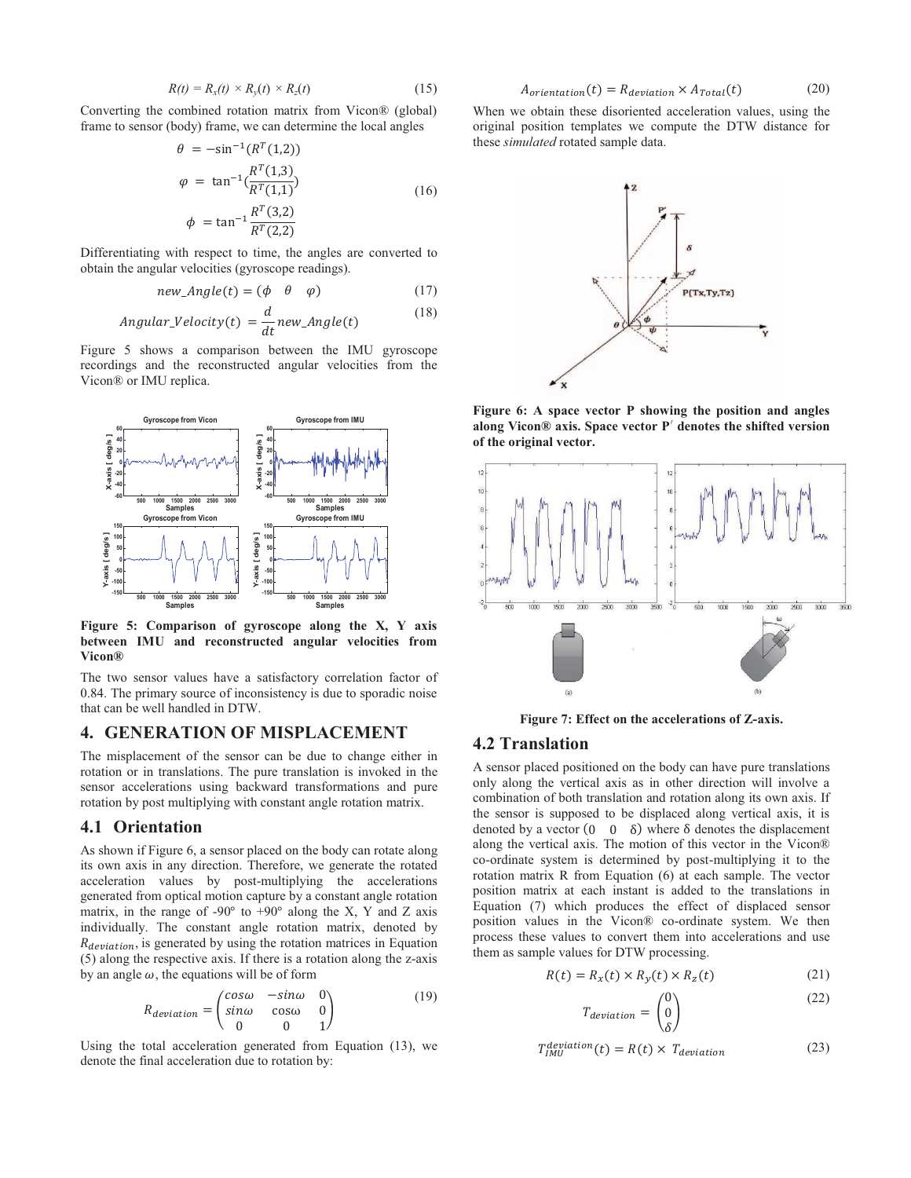$$
R(t) = R_x(t) \times R_y(t) \times R_z(t) \tag{15}
$$

Converting the combined rotation matrix from Vicon® (global) frame to sensor (body) frame, we can determine the local angles

$$
\theta = -\sin^{-1}(R^{T}(1,2))
$$
  
\n
$$
\varphi = \tan^{-1}(\frac{R^{T}(1,3)}{R^{T}(1,1)})
$$
  
\n
$$
\phi = \tan^{-1}\frac{R^{T}(3,2)}{R^{T}(2,2)}
$$
\n(16)

Differentiating with respect to time, the angles are converted to obtain the angular velocities (gyroscope readings).

$$
new\_Angle(t) = (\phi \quad \theta \quad \varphi) \tag{17}
$$

$$
Angular\_Velocity(t) = \frac{d}{dt} new\_Angle(t)
$$
 (18)

Figure 5 shows a comparison between the IMU gyroscope recordings and the reconstructed angular velocities from the Vicon® or IMU replica.



**Figure 5: Comparison of gyroscope along the X, Y axis between IMU and reconstructed angular velocities from Vicon®** 

The two sensor values have a satisfactory correlation factor of 0.84. The primary source of inconsistency is due to sporadic noise that can be well handled in DTW.

# **4. GENERATION OF MISPLACEMENT**

The misplacement of the sensor can be due to change either in rotation or in translations. The pure translation is invoked in the sensor accelerations using backward transformations and pure rotation by post multiplying with constant angle rotation matrix.

## **4.1 Orientation**

As shown if Figure 6, a sensor placed on the body can rotate along its own axis in any direction. Therefore, we generate the rotated acceleration values by post-multiplying the accelerations generated from optical motion capture by a constant angle rotation matrix, in the range of -90 $\degree$  to +90 $\degree$  along the X, Y and Z axis individually. The constant angle rotation matrix, denoted by  $R_{deviation}$ , is generated by using the rotation matrices in Equation (5) along the respective axis. If there is a rotation along the z-axis by an angle  $\omega$ , the equations will be of form

$$
R_{deviation} = \begin{pmatrix} cos\omega & -sin\omega & 0 \\ sin\omega & cos\omega & 0 \\ 0 & 0 & 1 \end{pmatrix}
$$
 (19)

Using the total acceleration generated from Equation (13), we denote the final acceleration due to rotation by:

$$
A_{orientation}(t) = R_{deviation} \times A_{Total}(t)
$$
 (20)

When we obtain these disoriented acceleration values, using the original position templates we compute the DTW distance for these *simulated* rotated sample data.



**Figure 6: A space vector P showing the position and angles along Vicon® axis. Space vector P**Ԣ **denotes the shifted version of the original vector.**



**Figure 7: Effect on the accelerations of Z-axis.** 

#### **4.2 Translation**

A sensor placed positioned on the body can have pure translations only along the vertical axis as in other direction will involve a combination of both translation and rotation along its own axis. If the sensor is supposed to be displaced along vertical axis, it is denoted by a vector  $(0 \ 0 \ \delta)$  where δ denotes the displacement along the vertical axis. The motion of this vector in the Vicon® co-ordinate system is determined by post-multiplying it to the rotation matrix R from Equation (6) at each sample. The vector position matrix at each instant is added to the translations in Equation (7) which produces the effect of displaced sensor position values in the Vicon® co-ordinate system. We then process these values to convert them into accelerations and use them as sample values for DTW processing.

$$
R(t) = R_x(t) \times R_y(t) \times R_z(t)
$$
 (21)

$$
T_{deviation} = \begin{pmatrix} 0 \\ 0 \\ \delta \end{pmatrix} \tag{22}
$$

$$
T_{IMU}^{deviation}(t) = R(t) \times T_{deviation}
$$
 (23)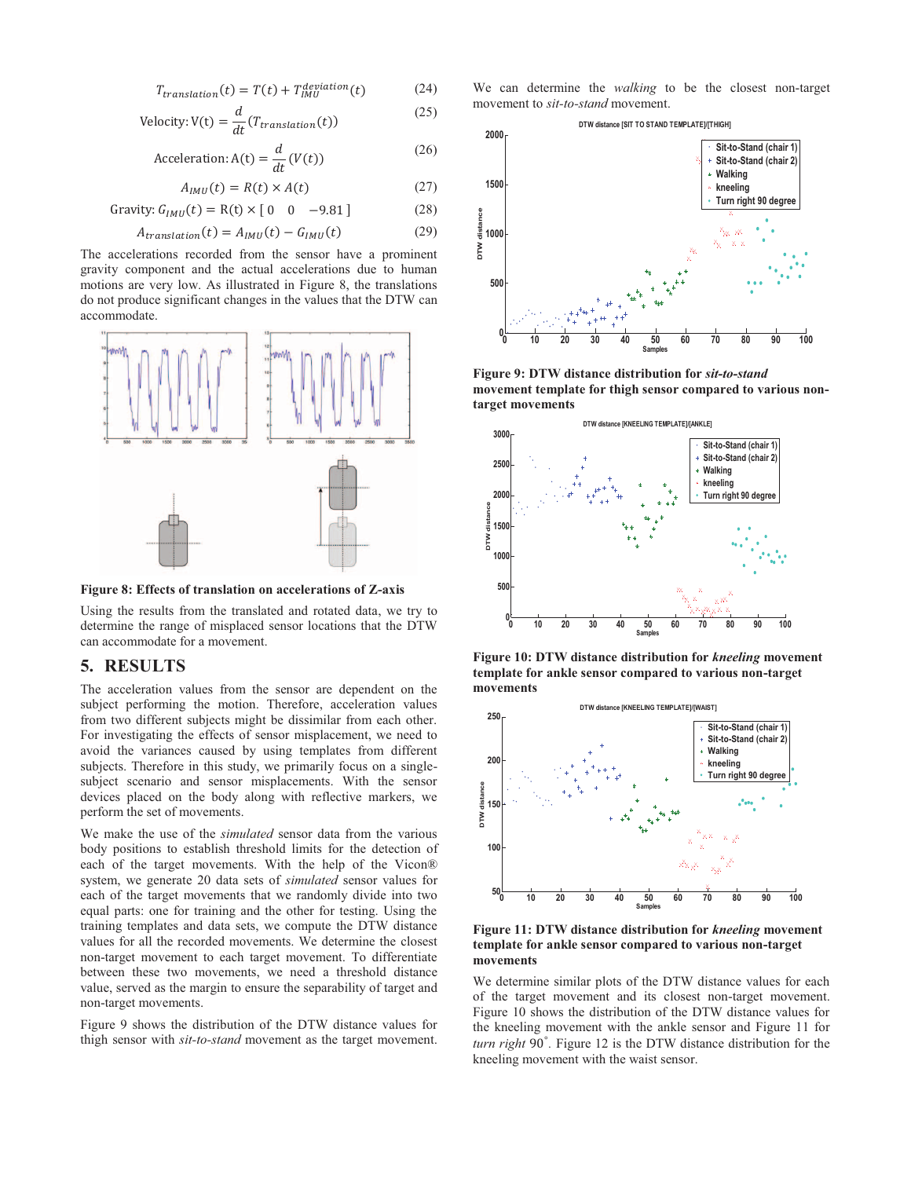$$
T_{translation}(t) = T(t) + T_{IMU}^{deviation}(t)
$$
 (24)

$$
Velocity: V(t) = \frac{d}{dt}(T_{translation}(t))
$$
\n(25)

$$
Acceleration: A(t) = \frac{d}{dt}(V(t))
$$
\n(26)

$$
A_{IMU}(t) = R(t) \times A(t) \tag{27}
$$

$$
Gravity: G_{IMU}(t) = R(t) \times [0 \ 0 \ -9.81]
$$
 (28)

$$
A_{translation}(t) = A_{IMU}(t) - G_{IMU}(t)
$$
\n(29)

The accelerations recorded from the sensor have a prominent gravity component and the actual accelerations due to human motions are very low. As illustrated in Figure 8, the translations do not produce significant changes in the values that the DTW can accommodate.



**Figure 8: Effects of translation on accelerations of Z-axis**

Using the results from the translated and rotated data, we try to determine the range of misplaced sensor locations that the DTW can accommodate for a movement.

## **5. RESULTS**

The acceleration values from the sensor are dependent on the subject performing the motion. Therefore, acceleration values from two different subjects might be dissimilar from each other. For investigating the effects of sensor misplacement, we need to avoid the variances caused by using templates from different subjects. Therefore in this study, we primarily focus on a singlesubject scenario and sensor misplacements. With the sensor devices placed on the body along with reflective markers, we perform the set of movements.

We make the use of the *simulated* sensor data from the various body positions to establish threshold limits for the detection of each of the target movements. With the help of the Vicon® system, we generate 20 data sets of *simulated* sensor values for each of the target movements that we randomly divide into two equal parts: one for training and the other for testing. Using the training templates and data sets, we compute the DTW distance values for all the recorded movements. We determine the closest non-target movement to each target movement. To differentiate between these two movements, we need a threshold distance value, served as the margin to ensure the separability of target and non-target movements.

Figure 9 shows the distribution of the DTW distance values for thigh sensor with *sit-to-stand* movement as the target movement.

We can determine the *walking* to be the closest non-target movement to *sit-to-stand* movement.



**Figure 9: DTW distance distribution for** *sit-to-stand* **movement template for thigh sensor compared to various nontarget movements** 



**Figure 10: DTW distance distribution for** *kneeling* **movement template for ankle sensor compared to various non-target movements** 



**Figure 11: DTW distance distribution for** *kneeling* **movement template for ankle sensor compared to various non-target movements** 

We determine similar plots of the DTW distance values for each of the target movement and its closest non-target movement. Figure 10 shows the distribution of the DTW distance values for the kneeling movement with the ankle sensor and Figure 11 for *turn right* 90°. Figure 12 is the DTW distance distribution for the kneeling movement with the waist sensor.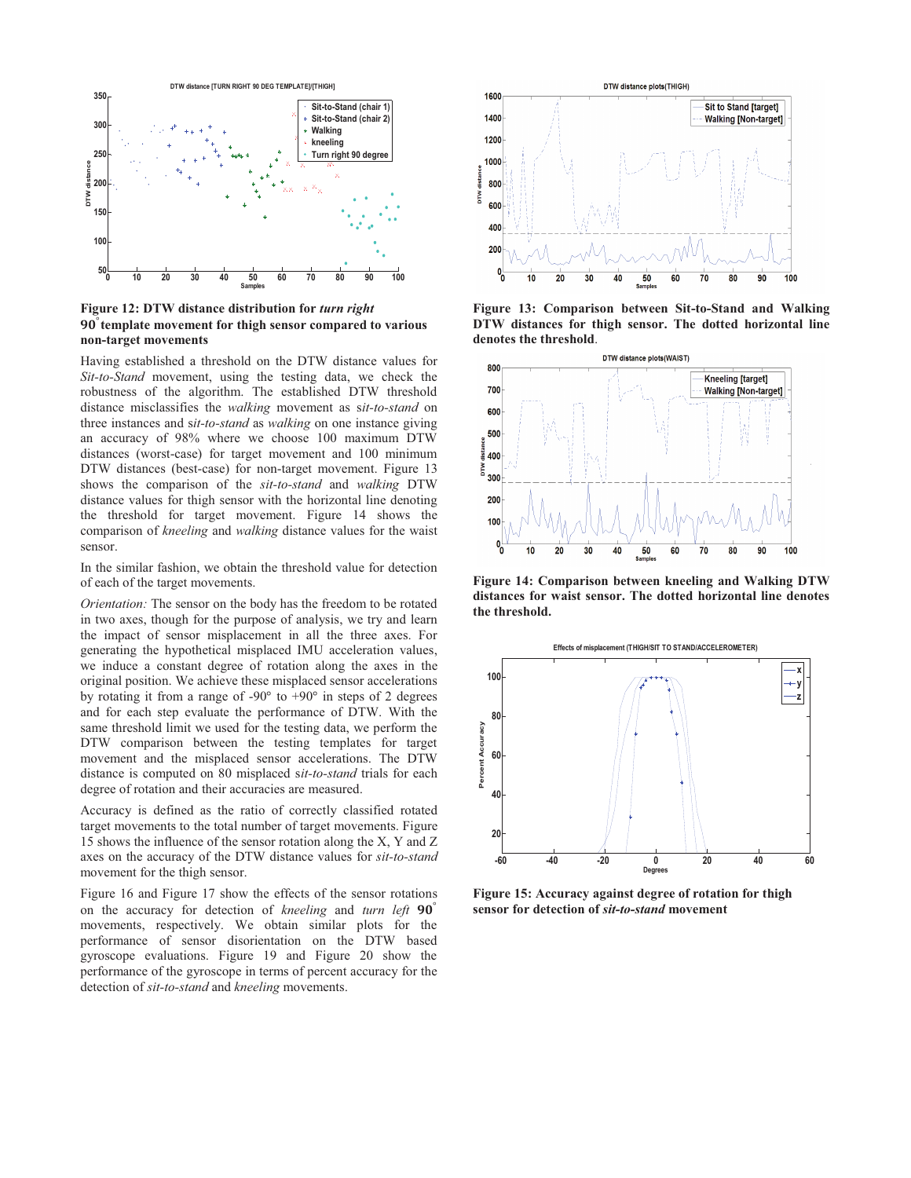

**Figure 12: DTW distance distribution for** *turn right*  **90** template movement for thigh sensor compared to various **non-target movements** 

Having established a threshold on the DTW distance values for *Sit-to-Stand* movement, using the testing data, we check the robustness of the algorithm. The established DTW threshold distance misclassifies the *walking* movement as s*it-to-stand* on three instances and s*it-to-stand* as *walking* on one instance giving an accuracy of 98% where we choose 100 maximum DTW distances (worst-case) for target movement and 100 minimum DTW distances (best-case) for non-target movement. Figure 13 shows the comparison of the *sit-to-stand* and *walking* DTW distance values for thigh sensor with the horizontal line denoting the threshold for target movement. Figure 14 shows the comparison of *kneeling* and *walking* distance values for the waist sensor.

In the similar fashion, we obtain the threshold value for detection of each of the target movements.

*Orientation:* The sensor on the body has the freedom to be rotated in two axes, though for the purpose of analysis, we try and learn the impact of sensor misplacement in all the three axes. For generating the hypothetical misplaced IMU acceleration values, we induce a constant degree of rotation along the axes in the original position. We achieve these misplaced sensor accelerations by rotating it from a range of -90 $\degree$  to +90 $\degree$  in steps of 2 degrees and for each step evaluate the performance of DTW. With the same threshold limit we used for the testing data, we perform the DTW comparison between the testing templates for target movement and the misplaced sensor accelerations. The DTW distance is computed on 80 misplaced s*it-to-stand* trials for each degree of rotation and their accuracies are measured.

Accuracy is defined as the ratio of correctly classified rotated target movements to the total number of target movements. Figure 15 shows the influence of the sensor rotation along the X, Y and Z axes on the accuracy of the DTW distance values for *sit-to-stand* movement for the thigh sensor.

Figure 16 and Figure 17 show the effects of the sensor rotations on the accuracy for detection of *kneeling* and *turn left* **90**<sup> $\circ$ </sup> movements, respectively. We obtain similar plots for the performance of sensor disorientation on the DTW based gyroscope evaluations. Figure 19 and Figure 20 show the performance of the gyroscope in terms of percent accuracy for the detection of *sit-to-stand* and *kneeling* movements.



**Figure 13: Comparison between Sit-to-Stand and Walking DTW distances for thigh sensor. The dotted horizontal line denotes the threshold**.



**Figure 14: Comparison between kneeling and Walking DTW distances for waist sensor. The dotted horizontal line denotes the threshold.**



**Figure 15: Accuracy against degree of rotation for thigh sensor for detection of** *sit-to-stand* **movement**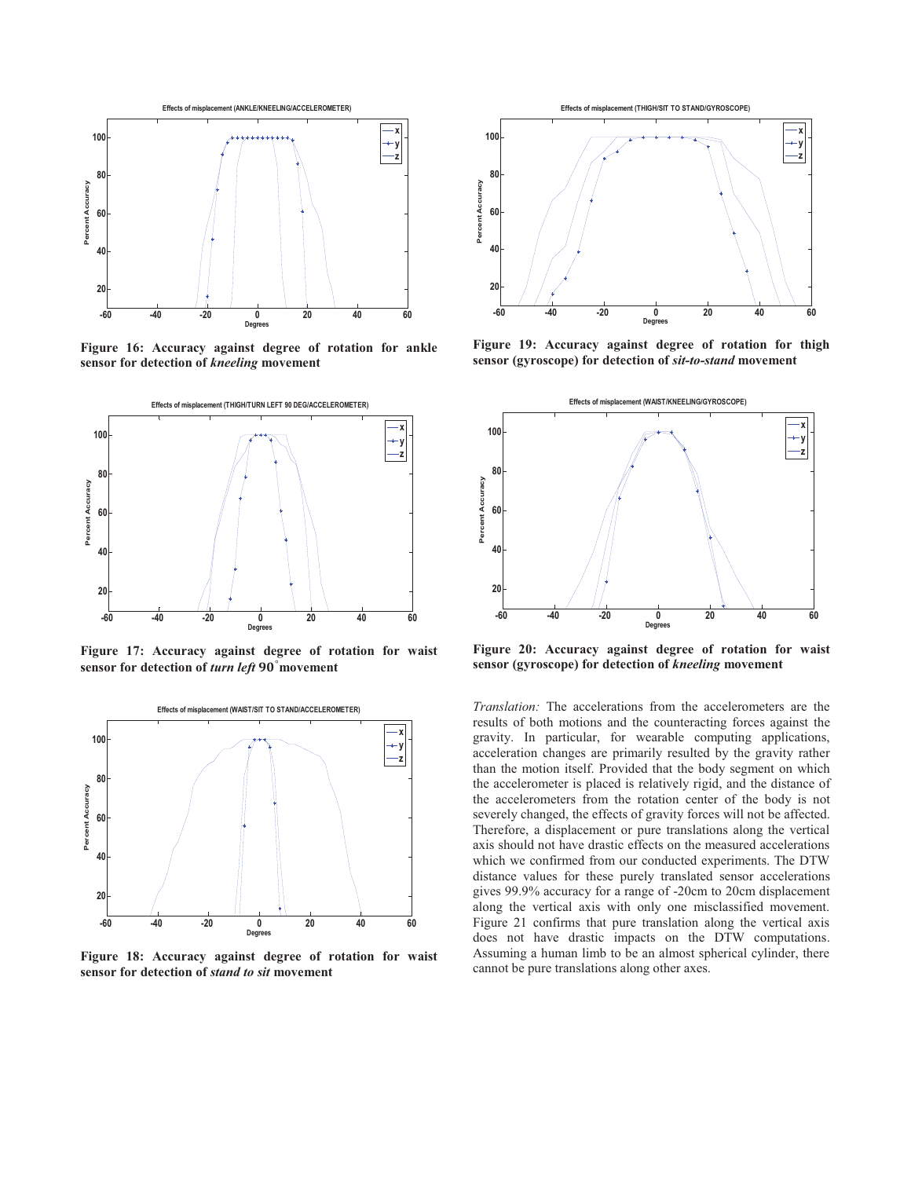

**Figure 16: Accuracy against degree of rotation for ankle sensor for detection of** *kneeling* **movement** 



**Figure 17: Accuracy against degree of rotation for waist sensor for detection of** *turn left* **90<sup>°</sup> movement** 



**Figure 18: Accuracy against degree of rotation for waist sensor for detection of** *stand to sit* **movement**



**Figure 19: Accuracy against degree of rotation for thigh sensor (gyroscope) for detection of** *sit-to-stand* **movement** 



**Figure 20: Accuracy against degree of rotation for waist sensor (gyroscope) for detection of** *kneeling* **movement** 

*Translation:* The accelerations from the accelerometers are the results of both motions and the counteracting forces against the gravity. In particular, for wearable computing applications, acceleration changes are primarily resulted by the gravity rather than the motion itself. Provided that the body segment on which the accelerometer is placed is relatively rigid, and the distance of the accelerometers from the rotation center of the body is not severely changed, the effects of gravity forces will not be affected. Therefore, a displacement or pure translations along the vertical axis should not have drastic effects on the measured accelerations which we confirmed from our conducted experiments. The DTW distance values for these purely translated sensor accelerations gives 99.9% accuracy for a range of -20cm to 20cm displacement along the vertical axis with only one misclassified movement. Figure 21 confirms that pure translation along the vertical axis does not have drastic impacts on the DTW computations. Assuming a human limb to be an almost spherical cylinder, there cannot be pure translations along other axes.